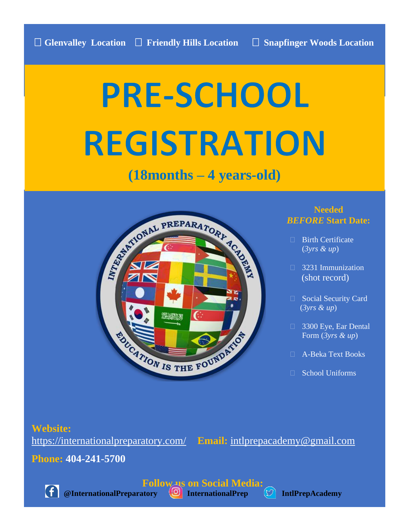# **PRE-SCHOOL REGISTRATION**

## **(18months – 4 years-old)**



#### **Needed** *BEFORE* **Start Date:**

- $\Box$  Birth Certificate (*3yrs & up*)
- 3231 Immunization (shot record)
- □ Social Security Card (*3yrs & up*)
- 3300 Eye, Ear Dental Form (*3yrs & up*)
- A-Beka Text Books
- □ School Uniforms

#### **Website:**

<https://internationalpreparatory.com/> **Email:** [intlprepacademy@gmail.com](mailto:intlprepacademy@gmail.com)

**Phone: 404-241-5700**



**@InternationalPreparatory (O)** InternationalPrep (U) IntlPrepAcademy

**Follow us on Social Media:**<br> **CO** InternationalPrep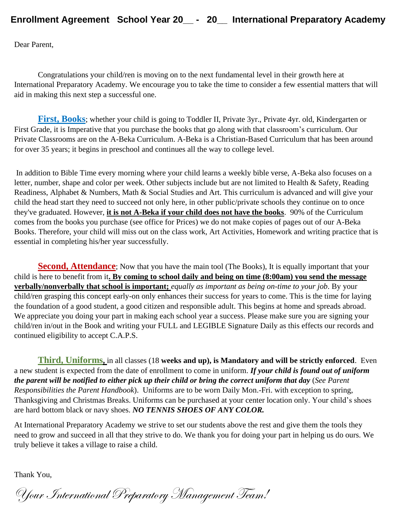Dear Parent,

Congratulations your child/ren is moving on to the next fundamental level in their growth here at International Preparatory Academy. We encourage you to take the time to consider a few essential matters that will aid in making this next step a successful one.

**First, Books**; whether your child is going to Toddler II, Private 3yr., Private 4yr. old, Kindergarten or First Grade, it is Imperative that you purchase the books that go along with that classroom's curriculum. Our Private Classrooms are on the A-Beka Curriculum. A-Beka is a Christian-Based Curriculum that has been around for over 35 years; it begins in preschool and continues all the way to college level.

In addition to Bible Time every morning where your child learns a weekly bible verse, A-Beka also focuses on a letter, number, shape and color per week. Other subjects include but are not limited to Health & Safety, Reading Readiness, Alphabet & Numbers, Math & Social Studies and Art. This curriculum is advanced and will give your child the head start they need to succeed not only here, in other public/private schools they continue on to once they've graduated. However, **it is not A-Beka if your child does not have the books**. 90% of the Curriculum comes from the books you purchase (see office for Prices) we do not make copies of pages out of our A-Beka Books. Therefore, your child will miss out on the class work, Art Activities, Homework and writing practice that is essential in completing his/her year successfully.

**Second, Attendance**; Now that you have the main tool (The Books), It is equally important that your child is here to benefit from it**. By coming to school daily and being on time (8:00am) you send the message verbally/nonverbally that school is important;** *equally as important as being on-time to your job*. By your child/ren grasping this concept early-on only enhances their success for years to come. This is the time for laying the foundation of a good student, a good citizen and responsible adult. This begins at home and spreads abroad. We appreciate you doing your part in making each school year a success. Please make sure you are signing your child/ren in/out in the Book and writing your FULL and LEGIBLE Signature Daily as this effects our records and continued eligibility to accept C.A.P.S.

**Third, Uniforms,** in all classes (18 **weeks and up), is Mandatory and will be strictly enforced**. Even a new student is expected from the date of enrollment to come in uniform. *If your child is found out of uniform the parent will be notified to either pick up their child or bring the correct uniform that day* (*See Parent Responsibilities the Parent Handbook*). Uniforms are to be worn Daily Mon.-Fri. with exception to spring, Thanksgiving and Christmas Breaks. Uniforms can be purchased at your center location only. Your child's shoes are hard bottom black or navy shoes. *NO TENNIS SHOES OF ANY COLOR.* 

At International Preparatory Academy we strive to set our students above the rest and give them the tools they need to grow and succeed in all that they strive to do. We thank you for doing your part in helping us do ours. We truly believe it takes a village to raise a child.

Thank You,

Your International Preparatory Management Team!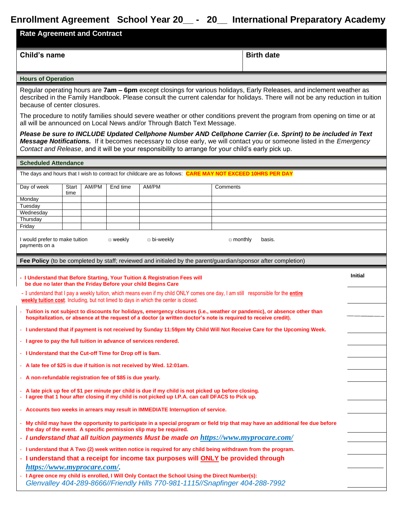| <b>Rate Agreement and Contract</b>                         |               |       |               | Enrollment Agreement School Year 20__ - 20__ International Preparatory Academy                                                                                                                                                                                                                                                               |                |                   |                |
|------------------------------------------------------------|---------------|-------|---------------|----------------------------------------------------------------------------------------------------------------------------------------------------------------------------------------------------------------------------------------------------------------------------------------------------------------------------------------------|----------------|-------------------|----------------|
| Child's name                                               |               |       |               |                                                                                                                                                                                                                                                                                                                                              |                | <b>Birth date</b> |                |
| <b>Hours of Operation</b>                                  |               |       |               |                                                                                                                                                                                                                                                                                                                                              |                |                   |                |
| because of center closures.                                |               |       |               | Regular operating hours are 7am - 6pm except closings for various holidays, Early Releases, and inclement weather as<br>described in the Family Handbook. Please consult the current calendar for holidays. There will not be any reduction in tuition                                                                                       |                |                   |                |
|                                                            |               |       |               | The procedure to notify families should severe weather or other conditions prevent the program from opening on time or at<br>all will be announced on Local News and/or Through Batch Text Message.                                                                                                                                          |                |                   |                |
|                                                            |               |       |               | Please be sure to INCLUDE Updated Cellphone Number AND Cellphone Carrier (i.e. Sprint) to be included in Text<br>Message Notifications. If it becomes necessary to close early, we will contact you or someone listed in the Emergency<br>Contact and Release, and it will be your responsibility to arrange for your child's early pick up. |                |                   |                |
| <b>Scheduled Attendance</b>                                |               |       |               |                                                                                                                                                                                                                                                                                                                                              |                |                   |                |
| Day of week                                                | Start<br>time | AM/PM | End time      | The days and hours that I wish to contract for childcare are as follows: CARE MAY NOT EXCEED 10HRS PER DAY<br>AM/PM                                                                                                                                                                                                                          | Comments       |                   |                |
| Monday<br>Tuesday<br>Wednesday<br>Thursday<br>Friday       |               |       |               |                                                                                                                                                                                                                                                                                                                                              |                |                   |                |
| I would prefer to make tuition<br>payments on a            |               |       | $\Box$ weekly | $\Box$ bi-weekly                                                                                                                                                                                                                                                                                                                             | $\Box$ monthly | basis.            |                |
|                                                            |               |       |               | <b>Fee Policy</b> (to be completed by staff; reviewed and initialed by the parent/guardian/sponsor after completion)                                                                                                                                                                                                                         |                |                   |                |
|                                                            |               |       |               | - I Understand that Before Starting, Your Tuition & Registration Fees will<br>be due no later than the Friday Before your child Begins Care                                                                                                                                                                                                  |                |                   | <b>Initial</b> |
|                                                            |               |       |               | - I understand that I pay a weekly tuition, which means even if my child ONLY comes one day, I am still responsible for the <i>entire</i><br>weekly tuition cost. Including, but not limed to days in which the center is closed.                                                                                                            |                |                   |                |
|                                                            |               |       |               | - Tuition is not subject to discounts for holidays, emergency closures (i.e., weather or pandemic), or absence other than<br>hospitalization, or absence at the request of a doctor (a written doctor's note is required to receive credit).                                                                                                 |                |                   |                |
|                                                            |               |       |               | - I understand that if payment is not received by Sunday 11:59pm My Child Will Not Receive Care for the Upcoming Week.                                                                                                                                                                                                                       |                |                   |                |
| - I Understand that the Cut-off Time for Drop off is 9am.  |               |       |               | - I agree to pay the full tuition in advance of services rendered.                                                                                                                                                                                                                                                                           |                |                   |                |
|                                                            |               |       |               | - A late fee of \$25 is due if tuition is not received by Wed. 12:01am.                                                                                                                                                                                                                                                                      |                |                   |                |
| - A non-refundable registration fee of \$85 is due yearly. |               |       |               |                                                                                                                                                                                                                                                                                                                                              |                |                   |                |

- **A late pick up fee of \$1 per minute per child is due if my child is not picked up before closing.** - **I agree that 1 hour after closing if my child is not picked up I.P.A. can call DFACS to Pick up.** 

- **Accounts two weeks in arrears may result in IMMEDIATE Interruption of service.**

- **My child may have the opportunity to participate in a special program or field trip that may have an additional fee due before the day of the event. A specific permission slip may be required.**
- *I understand that all tuition payments Must be made on <https://www.myprocare.com/>*
- **I understand that A Two (2) week written notice is required for any child being withdrawn from the program.**
- **I understand that a receipt for income tax purposes will ONLY be provided through**  *[https://www.myprocare.com/.](https://www.myprocare.com/)*
- **I Agree once my child is enrolled, I Will Only Contact the School Using the Direct Number(s):**  *Glenvalley 404-289-8666//Friendly Hills 770-981-1115//Snapfinger 404-288-7992*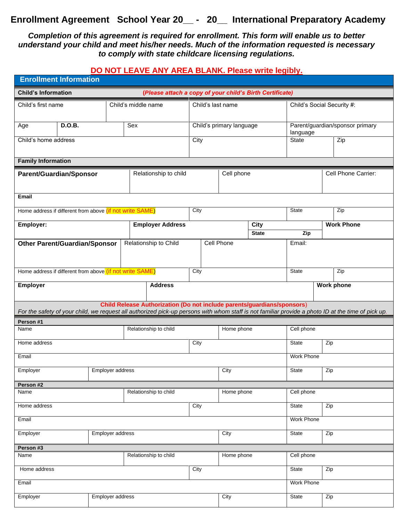#### *Completion of this agreement is required for enrollment. This form will enable us to better understand your child and meet his/her needs. Much of the information requested is necessary to comply with state childcare licensing regulations.*

#### **DO NOT LEAVE ANY AREA BLANK. Please write legibly.**

| <b>Enrollment Information</b>                                                          |                                                                                                                                                                                                                               |                         |                          |            |                             |                                             |                     |  |  |  |  |
|----------------------------------------------------------------------------------------|-------------------------------------------------------------------------------------------------------------------------------------------------------------------------------------------------------------------------------|-------------------------|--------------------------|------------|-----------------------------|---------------------------------------------|---------------------|--|--|--|--|
| <b>Child's Information</b><br>(Please attach a copy of your child's Birth Certificate) |                                                                                                                                                                                                                               |                         |                          |            |                             |                                             |                     |  |  |  |  |
| Child's first name                                                                     |                                                                                                                                                                                                                               | Child's middle name     | Child's last name        |            |                             | Child's Social Security #:                  |                     |  |  |  |  |
| D.O.B.<br>Age                                                                          |                                                                                                                                                                                                                               | Sex                     | Child's primary language |            |                             | Parent/guardian/sponsor primary<br>language |                     |  |  |  |  |
| Child's home address                                                                   |                                                                                                                                                                                                                               |                         | City                     |            |                             | <b>State</b>                                | Zip                 |  |  |  |  |
| <b>Family Information</b>                                                              |                                                                                                                                                                                                                               |                         |                          |            |                             |                                             |                     |  |  |  |  |
| <b>Parent/Guardian/Sponsor</b>                                                         |                                                                                                                                                                                                                               | Relationship to child   |                          | Cell phone |                             |                                             | Cell Phone Carrier: |  |  |  |  |
| <b>Email</b>                                                                           |                                                                                                                                                                                                                               |                         |                          |            |                             |                                             |                     |  |  |  |  |
| Home address if different from above <i>(if not write SAME)</i>                        |                                                                                                                                                                                                                               |                         | City                     |            |                             | <b>State</b>                                | Zip                 |  |  |  |  |
| Employer:                                                                              |                                                                                                                                                                                                                               | <b>Employer Address</b> |                          |            | <b>City</b><br><b>State</b> | Zip                                         | <b>Work Phone</b>   |  |  |  |  |
| <b>Other Parent/Guardian/Sponsor</b>                                                   |                                                                                                                                                                                                                               | Relationship to Child   |                          | Cell Phone |                             | Email:                                      |                     |  |  |  |  |
|                                                                                        |                                                                                                                                                                                                                               |                         |                          |            |                             |                                             |                     |  |  |  |  |
| Home address if different from above (if not write SAME)                               |                                                                                                                                                                                                                               |                         |                          |            | <b>State</b>                | Zip                                         |                     |  |  |  |  |
| <b>Address</b><br><b>Employer</b>                                                      |                                                                                                                                                                                                                               |                         |                          |            |                             |                                             | <b>Work phone</b>   |  |  |  |  |
|                                                                                        | Child Release Authorization (Do not include parents/guardians/sponsors)<br>For the safety of your child, we request all authorized pick-up persons with whom staff is not familiar provide a photo ID at the time of pick up. |                         |                          |            |                             |                                             |                     |  |  |  |  |
| Person #1                                                                              |                                                                                                                                                                                                                               |                         |                          | Home phone |                             |                                             |                     |  |  |  |  |
| Name                                                                                   |                                                                                                                                                                                                                               | Relationship to child   |                          |            |                             | Cell phone                                  |                     |  |  |  |  |
| Home address                                                                           |                                                                                                                                                                                                                               |                         | City                     |            |                             | <b>State</b><br>Zip                         |                     |  |  |  |  |
| Email                                                                                  |                                                                                                                                                                                                                               |                         |                          |            |                             | <b>Work Phone</b>                           |                     |  |  |  |  |
| Employer                                                                               | Employer address                                                                                                                                                                                                              |                         | City<br>Zip<br>State     |            |                             |                                             |                     |  |  |  |  |
| Person #2                                                                              |                                                                                                                                                                                                                               |                         |                          |            |                             |                                             |                     |  |  |  |  |
| Name                                                                                   |                                                                                                                                                                                                                               | Relationship to child   |                          | Home phone |                             | Cell phone                                  |                     |  |  |  |  |
| Home address                                                                           |                                                                                                                                                                                                                               |                         | City                     |            |                             | Zip<br><b>State</b>                         |                     |  |  |  |  |
| Email                                                                                  |                                                                                                                                                                                                                               |                         |                          | Work Phone |                             |                                             |                     |  |  |  |  |
| Employer address<br>Employer                                                           |                                                                                                                                                                                                                               |                         | City                     |            |                             | Zip<br>State                                |                     |  |  |  |  |
| Person #3                                                                              |                                                                                                                                                                                                                               |                         |                          |            |                             |                                             |                     |  |  |  |  |
| Relationship to child<br>Name                                                          |                                                                                                                                                                                                                               |                         | Home phone               |            | Cell phone                  |                                             |                     |  |  |  |  |
| Home address                                                                           |                                                                                                                                                                                                                               | City                    |                          |            | Zip<br><b>State</b>         |                                             |                     |  |  |  |  |
| Email                                                                                  |                                                                                                                                                                                                                               |                         |                          |            |                             | Work Phone                                  |                     |  |  |  |  |
| Employer                                                                               | Employer address                                                                                                                                                                                                              |                         |                          | City       |                             | State                                       | Zip                 |  |  |  |  |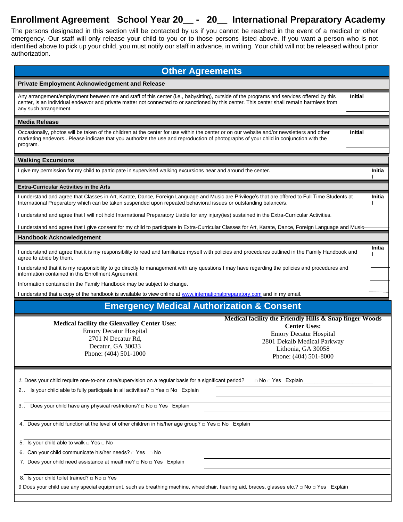The persons designated in this section will be contacted by us if you cannot be reached in the event of a medical or other emergency. Our staff will only release your child to you or to those persons listed above. If you want a person who is not identified above to pick up your child, you must notify our staff in advance, in writing. Your child will not be released without prior authorization.

| <b>Other Agreements</b>                                                                                                                                                                                                                                                                                                                                   |                |  |  |  |  |  |  |  |
|-----------------------------------------------------------------------------------------------------------------------------------------------------------------------------------------------------------------------------------------------------------------------------------------------------------------------------------------------------------|----------------|--|--|--|--|--|--|--|
| Private Employment Acknowledgement and Release                                                                                                                                                                                                                                                                                                            |                |  |  |  |  |  |  |  |
| Any arrangement/employment between me and staff of this center (i.e., babysitting), outside of the programs and services offered by this<br>center, is an individual endeavor and private matter not connected to or sanctioned by this center. This center shall remain harmless from<br>any such arrangement.                                           | Initial        |  |  |  |  |  |  |  |
| <b>Media Release</b>                                                                                                                                                                                                                                                                                                                                      |                |  |  |  |  |  |  |  |
| Occasionally, photos will be taken of the children at the center for use within the center or on our website and/or newsletters and other<br>marketing endevors Please indicate that you authorize the use and reproduction of photographs of your child in conjunction with the<br>program.                                                              | <b>Initial</b> |  |  |  |  |  |  |  |
| <b>Walking Excursions</b>                                                                                                                                                                                                                                                                                                                                 |                |  |  |  |  |  |  |  |
| I give my permission for my child to participate in supervised walking excursions near and around the center.                                                                                                                                                                                                                                             | Initia         |  |  |  |  |  |  |  |
| <b>Extra-Curricular Activities in the Arts</b>                                                                                                                                                                                                                                                                                                            |                |  |  |  |  |  |  |  |
| I understand and agree that Classes in Art, Karate, Dance, Foreign Language and Music are Privilege's that are offered to Full Time Students at<br>International Preparatory which can be taken suspended upon repeated behavioral issues or outstanding balance/s.                                                                                       | Initia         |  |  |  |  |  |  |  |
| I understand and agree that I will not hold International Preparatory Liable for any injury(ies) sustained in the Extra-Curricular Activities.                                                                                                                                                                                                            |                |  |  |  |  |  |  |  |
| I understand and agree that I give consent for my child to participate in Extra-Curricular Classes for Art, Karate, Dance, Foreign Language and Musie                                                                                                                                                                                                     |                |  |  |  |  |  |  |  |
| <b>Handbook Acknowledgement</b>                                                                                                                                                                                                                                                                                                                           |                |  |  |  |  |  |  |  |
| I understand and agree that it is my responsibility to read and familiarize myself with policies and procedures outlined in the Family Handbook and<br>agree to abide by them.                                                                                                                                                                            | Initia         |  |  |  |  |  |  |  |
| I understand that it is my responsibility to go directly to management with any questions I may have regarding the policies and procedures and<br>information contained in this Enrollment Agreement.                                                                                                                                                     |                |  |  |  |  |  |  |  |
| Information contained in the Family Handbook may be subject to change.                                                                                                                                                                                                                                                                                    |                |  |  |  |  |  |  |  |
| I understand that a copy of the handbook is available to view online at www.internationalpreparatory.com and in my email.                                                                                                                                                                                                                                 |                |  |  |  |  |  |  |  |
| <b>Emergency Medical Authorization &amp; Consent</b>                                                                                                                                                                                                                                                                                                      |                |  |  |  |  |  |  |  |
| Medical facility the Friendly Hills & Snap finger Woods<br><b>Medical facility the Glenvalley Center Uses:</b><br><b>Center Uses:</b><br><b>Emory Decatur Hospital</b><br><b>Emory Decatur Hospital</b><br>2701 N Decatur Rd,<br>2801 Dekalb Medical Parkway<br>Decatur, GA 30033<br>Lithonia, GA 30058<br>Phone: (404) 501-1000<br>Phone: (404) 501-8000 |                |  |  |  |  |  |  |  |
| 1. Does your child require one-to-one care/supervision on a regular basis for a significant period?<br>□ No □ Yes Explain                                                                                                                                                                                                                                 |                |  |  |  |  |  |  |  |
| 2. Is your child able to fully participate in all activities? $\Box$ Yes $\Box$ No Explain                                                                                                                                                                                                                                                                |                |  |  |  |  |  |  |  |
| 3. Does your child have any physical restrictions? $\Box$ No $\Box$ Yes Explain                                                                                                                                                                                                                                                                           |                |  |  |  |  |  |  |  |
| 4. Does your child function at the level of other children in his/her age group? $\Box$ Yes $\Box$ No Explain                                                                                                                                                                                                                                             |                |  |  |  |  |  |  |  |
| 5. Is your child able to walk $\Box$ Yes $\Box$ No                                                                                                                                                                                                                                                                                                        |                |  |  |  |  |  |  |  |
|                                                                                                                                                                                                                                                                                                                                                           |                |  |  |  |  |  |  |  |
| 6. Can your child communicate his/her needs? $\Box$ Yes $\Box$ No                                                                                                                                                                                                                                                                                         |                |  |  |  |  |  |  |  |
| 7. Does your child need assistance at mealtime? $\Box$ No $\Box$ Yes Explain                                                                                                                                                                                                                                                                              |                |  |  |  |  |  |  |  |
|                                                                                                                                                                                                                                                                                                                                                           |                |  |  |  |  |  |  |  |
| 8. Is your child toilet trained? $\Box$ No $\Box$ Yes<br>9 Does your child use any special equipment, such as breathing machine, wheelchair, hearing aid, braces, glasses etc.? □ No □ Yes Explain                                                                                                                                                        |                |  |  |  |  |  |  |  |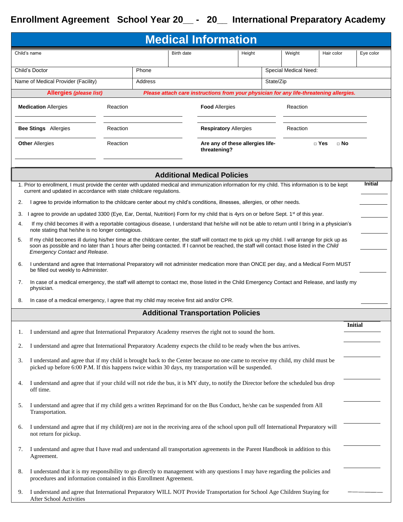| <b>Medical Information</b> |                                                                                                                                                                                                                                                                                                                                          |          |         |            |                                                                                         |  |           |                       |                         |                |  |  |
|----------------------------|------------------------------------------------------------------------------------------------------------------------------------------------------------------------------------------------------------------------------------------------------------------------------------------------------------------------------------------|----------|---------|------------|-----------------------------------------------------------------------------------------|--|-----------|-----------------------|-------------------------|----------------|--|--|
| Child's name               |                                                                                                                                                                                                                                                                                                                                          |          |         | Birth date | Height                                                                                  |  | Weight    | Hair color            | Eye color               |                |  |  |
| Phone<br>Child's Doctor    |                                                                                                                                                                                                                                                                                                                                          |          |         |            |                                                                                         |  |           | Special Medical Need: |                         |                |  |  |
|                            | Name of Medical Provider (Facility)                                                                                                                                                                                                                                                                                                      |          | Address |            |                                                                                         |  | State/Zip |                       |                         |                |  |  |
|                            | Allergies (please list)                                                                                                                                                                                                                                                                                                                  |          |         |            | Please attach care instructions from your physician for any life-threatening allergies. |  |           |                       |                         |                |  |  |
|                            | <b>Medication Allergies</b>                                                                                                                                                                                                                                                                                                              | Reaction |         |            | <b>Food Allergies</b>                                                                   |  |           | Reaction              |                         |                |  |  |
|                            | <b>Bee Stings</b> Allergies                                                                                                                                                                                                                                                                                                              | Reaction |         |            | <b>Respiratory Allergies</b>                                                            |  |           | Reaction              |                         |                |  |  |
|                            | <b>Other Allergies</b>                                                                                                                                                                                                                                                                                                                   | Reaction |         |            | Are any of these allergies life-<br>threatening?                                        |  |           |                       | $\Box$ Yes<br>$\Box$ No |                |  |  |
|                            | <b>Additional Medical Policies</b>                                                                                                                                                                                                                                                                                                       |          |         |            |                                                                                         |  |           |                       |                         |                |  |  |
|                            | 1. Prior to enrollment, I must provide the center with updated medical and immunization information for my child. This information is to be kept<br>current and updated in accordance with state childcare regulations.                                                                                                                  |          |         |            |                                                                                         |  |           |                       |                         | <b>Initial</b> |  |  |
| 2.                         | I agree to provide information to the childcare center about my child's conditions, illnesses, allergies, or other needs.                                                                                                                                                                                                                |          |         |            |                                                                                         |  |           |                       |                         |                |  |  |
| З.                         | agree to provide an updated 3300 (Eye, Ear, Dental, Nutrition) Form for my child that is 4yrs on or before Sept. 1 <sup>st</sup> of this year.                                                                                                                                                                                           |          |         |            |                                                                                         |  |           |                       |                         |                |  |  |
| 4.                         | If my child becomes ill with a reportable contagious disease, I understand that he/she will not be able to return until I bring in a physician's<br>note stating that he/she is no longer contagious.                                                                                                                                    |          |         |            |                                                                                         |  |           |                       |                         |                |  |  |
| 5.                         | If my child becomes ill during his/her time at the childcare center, the staff will contact me to pick up my child. I will arrange for pick up as<br>soon as possible and no later than 1 hours after being contacted. If I cannot be reached, the staff will contact those listed in the Child<br><b>Emergency Contact and Release.</b> |          |         |            |                                                                                         |  |           |                       |                         |                |  |  |
| 6.                         | I understand and agree that International Preparatory will not administer medication more than ONCE per day, and a Medical Form MUST<br>be filled out weekly to Administer.                                                                                                                                                              |          |         |            |                                                                                         |  |           |                       |                         |                |  |  |
| 7.                         | In case of a medical emergency, the staff will attempt to contact me, those listed in the Child Emergency Contact and Release, and lastly my<br>physician.                                                                                                                                                                               |          |         |            |                                                                                         |  |           |                       |                         |                |  |  |
| 8.                         | In case of a medical emergency, I agree that my child may receive first aid and/or CPR.                                                                                                                                                                                                                                                  |          |         |            |                                                                                         |  |           |                       |                         |                |  |  |
|                            |                                                                                                                                                                                                                                                                                                                                          |          |         |            | <b>Additional Transportation Policies</b>                                               |  |           |                       |                         |                |  |  |
| 1.                         | I understand and agree that International Preparatory Academy reserves the right not to sound the horn.                                                                                                                                                                                                                                  |          |         |            |                                                                                         |  |           |                       |                         | <b>Initial</b> |  |  |
| 2.                         | I understand and agree that International Preparatory Academy expects the child to be ready when the bus arrives.                                                                                                                                                                                                                        |          |         |            |                                                                                         |  |           |                       |                         |                |  |  |
| 3.                         | I understand and agree that if my child is brought back to the Center because no one came to receive my child, my child must be<br>picked up before 6:00 P.M. If this happens twice within 30 days, my transportation will be suspended.                                                                                                 |          |         |            |                                                                                         |  |           |                       |                         |                |  |  |
| 4.                         | I understand and agree that if your child will not ride the bus, it is MY duty, to notify the Director before the scheduled bus drop<br>off time.                                                                                                                                                                                        |          |         |            |                                                                                         |  |           |                       |                         |                |  |  |
| 5.                         | I understand and agree that if my child gets a written Reprimand for on the Bus Conduct, he/she can be suspended from All<br>Transportation.                                                                                                                                                                                             |          |         |            |                                                                                         |  |           |                       |                         |                |  |  |
| 6.                         | I understand and agree that if my child(ren) are not in the receiving area of the school upon pull off International Preparatory will<br>not return for pickup.                                                                                                                                                                          |          |         |            |                                                                                         |  |           |                       |                         |                |  |  |
| 7.                         | I understand and agree that I have read and understand all transportation agreements in the Parent Handbook in addition to this<br>Agreement.                                                                                                                                                                                            |          |         |            |                                                                                         |  |           |                       |                         |                |  |  |
| 8.                         | I understand that it is my responsibility to go directly to management with any questions I may have regarding the policies and<br>procedures and information contained in this Enrollment Agreement.                                                                                                                                    |          |         |            |                                                                                         |  |           |                       |                         |                |  |  |
| 9.                         | I understand and agree that International Preparatory WILL NOT Provide Transportation for School Age Children Staying for<br>After School Activities                                                                                                                                                                                     |          |         |            |                                                                                         |  |           |                       |                         |                |  |  |